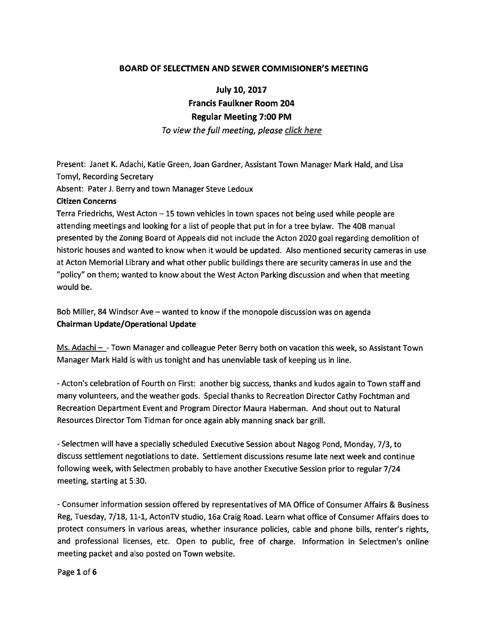# BOARD OF SElECTMEN AND SEWER COMMISIONER'S MEETING

July 10, 2017 Francis Faulkner Room 204 Regular Meeting 7:00 PM

To view the full meeting, please click here

Present: Janet K. Adachi, Katie Green, Joan Gardner, Assistant Town Manager Mark Hald, and Lisa Tomyl, Recording Secretary

Absent: Pater J. Berry and town Manager Steve Ledoux

### Citizen Concerns

Terra Friedrichs, West Acton — 15 town vehicles in town spaces not being used while people are attending meetings and looking for <sup>a</sup> list of people that pu<sup>t</sup> in for <sup>a</sup> tree bylaw. The 40B manual presented by the Zoning Board of Appeals did not include the Acton 2020 goal regarding demolition of historic houses and wanted to know when it would be updated. Also mentioned security cameras in use at Acton Memorial Library and what other public buildings there are security cameras in use and the "policy" on them; wanted to know about the West Acton Parking discussion and when that meeting would be.

Bob Miller, 84 Windsor Ave — wanted to know if the monopole discussion was on agenda Chairman Update/Operational Update

 $Ms.$  Adachi  $-$  - Town Manager and colleague Peter Berry both on vacation this week, so Assistant Town Manager Mark Hald is with us tonight and has unenviable task of keeping us in line.

-Acton's celebration of Fourth on First: another big success, thanks and kudos again to Town staff and many volunteers, and the weather gods. Special thanks to Recreation Director Cathy Fochtman and Recreation Department Event and Program Director Maura Haberman. And shout out to Natural Resources Director Tom Tidman for once again ably manning snack bar grill.

-Selectmen will have <sup>a</sup> specially scheduled Executive Session about Nagog Pond, Monday, 7/3, to discuss settlement negotiations to date. Settlement discussions resume late next week and continue following week, with Selectmen probably to have another Executive Session prior to regular 7/24 meeting, starting at 5:30.

-Consumer information session offered by representatives of MA Office of Consumer Affairs & Business Reg, Tuesday, 7/18, 11-1, ActonTV studio, 16a Craig Road. Learn what office of Consumer Affairs does to protect consumers in various areas, whether insurance policies, cable and <sup>p</sup>hone bills, renter's rights, and professional licenses, etc. Open to public, free of charge. Information in Selectmen's online meeting packet and also posted on Town website.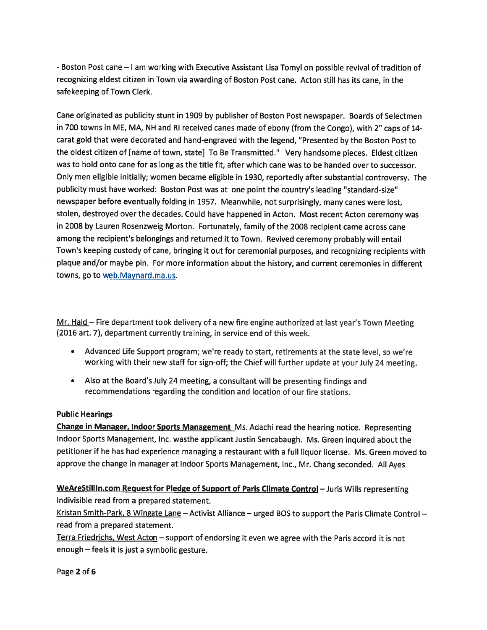-Boston Post cane — <sup>I</sup> am working with Executive Assistant Lisa Tomyl on possible revival of tradition of recognizing eldest citizen in Town via awarding of Boston Post cane. Acton still has its cane, in the safekeeping of Town Clerk.

Cane originated as publicity stunt in 1909 by publisher of Boston Post newspaper. Boards of Selectmen in <sup>700</sup> towns in ME, MA, NH and RI received canes made of ebony (from the Congo), with 2" caps of 14 carat gold that were decorated and hand-engraved with the legend, "Presented by the Boston Post to the oldest citizen of [name of town, state] To Be Transmitted." Very handsome <sup>p</sup>ieces. Eldest citizen was to hold onto cane for as long as the title fit, after which cane was to be handed over to successor. Only men eligible initially; women became eligible in 1930, reportedly after substantial controversy. The publicity must have worked: Boston Post was at one point the country's leading "standard-size" newspaper before eventually folding in 1957. Meanwhile, not surprisingly, many canes were lost, stolen, destroyed over the decades. Could have happened in Acton. Most recent Acton ceremony was in <sup>2008</sup> by Lauren Rosenzweig Morton. Fortunately, family of the <sup>2008</sup> recipient came across cane among the recipient's belongings and returned it to Town. Revived ceremony probably will entail Town's keeping custody of cane, bringing it out for ceremonial purposes, and recognizing recipients with <sup>p</sup>laque and/or maybe <sup>p</sup>in. For more information about the history, and current ceremonies in different towns, go to web.Maynard.ma.us.

Mr. Hald - Fire department took delivery of a new fire engine authorized at last year's Town Meeting (2016 art. 7), department currently training, in service end of this week.

- Advanced Life Support program; we're ready to start, retirements at the state level, so we're working with their new staff for sign-off; the Chief will further update at your July <sup>24</sup> meeting.
- Also at the Board's July <sup>24</sup> meeting, <sup>a</sup> consultant will be presenting findings and recommendations regarding the condition and location of our fire stations.

## Public Hearings

**Change in Manager, Indoor Sports Management** Ms. Adachi read the hearing notice. Representing Indoor Sports Management, Inc. wasthe applicant Justin Sencabaugh. Ms. Green inquired about the petitioner if he has had experience managing <sup>a</sup> restaurant with <sup>a</sup> full liquor license. Ms. Green moved to approve the change in manager at Indoor Sports Management, Inc., Mr. Chang seconded. All Ayes

WeAreStillIn.com Request for Pledge of Support of Paris Climate Control - Juris Wills representing Indivisible read from <sup>a</sup> prepared statement.

Kristan Smith-Park, 8 Wingate Lane - Activist Alliance - urged BOS to support the Paris Climate Control read from <sup>a</sup> prepared statement.

Terra Friedrichs, West Acton - support of endorsing it even we agree with the Paris accord it is not enough — feels it is just <sup>a</sup> symbolic gesture.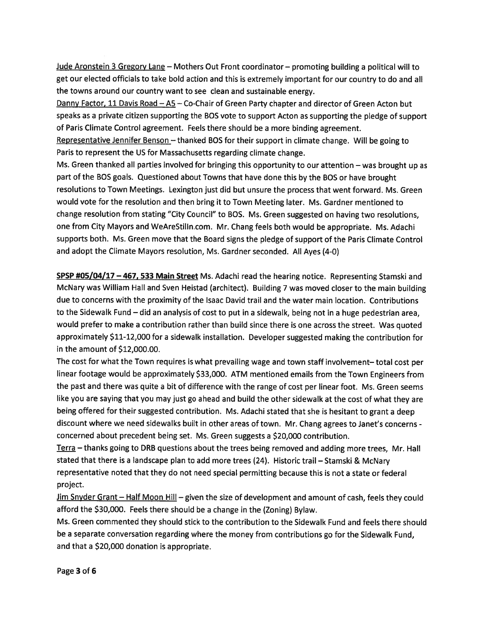Jude Aronstein 3 Gregory Lane — Mothers Out Front coordinator— promoting building <sup>a</sup> political will to ge<sup>t</sup> our elected officials to take bold action and this is extremely important for our country to do and all the towns around our country want to see clean and sustainable energy.

Danny Factor, 11 Davis Road - A5 - Co-Chair of Green Party chapter and director of Green Acton but speaks as <sup>a</sup> private citizen supporting the BOS vote to suppor<sup>t</sup> Acton as supporting the <sup>p</sup>ledge of suppor<sup>t</sup> of Paris Climate Control agreement. Feels there should be <sup>a</sup> more binding agreement.

Representative Jennifer Benson - thanked BOS for their support in climate change. Will be going to Paris to represen<sup>t</sup> the US for Massachusetts regarding climate change.

Ms. Green thanked all parties involved for bringing this opportunity to our attention — was brought up as par<sup>t</sup> of the BOS goals. Questioned about Towns that have done this by the BOS or have brought resolutions to Town Meetings. Lexington just did but unsure the process that went forward. Ms. Green would vote for the resolution and then bring it to Town Meeting later. Ms. Gardner mentioned to change resolution from stating "City Council" to BOS. Ms. Green suggested on having two resolutions, one from City Mayors and WeAreStilln.com. Mr. Chang feels both would be appropriate. Ms. Adachi supports both. Ms. Green move that the Board signs the <sup>p</sup>ledge of suppor<sup>t</sup> of the Paris Climate Control and adopt the Climate Mayors resolution, Ms. Gardner seconded. All Ayes (4-0)

SPSP #05/04/17 - 467, 533 Main Street Ms. Adachi read the hearing notice. Representing Stamski and McNary was William Hall and Sven Heistad (architect). Building <sup>7</sup> was moved closer to the main building due to concerns with the proximity of the Isaac David trail and the water main location. Contributions to the Sidewalk Fund — did an analysis of cost to pu<sup>t</sup> in <sup>a</sup> sidewalk, being not in <sup>a</sup> huge pedestrian area, would prefer to make <sup>a</sup> contribution rather than build since there is one across the street. Was quoted approximately \$11-12,000 for <sup>a</sup> sidewalk installation. Developer suggested making the contribution for in the amount of \$12,000.00.

The cost for what the Town requires is what prevailing wage and town staff involvement— total cost per linear footage would be approximately \$33,000. ATM mentioned emails from the Town Engineers from the pas<sup>t</sup> and there was quite <sup>a</sup> bit of difference with the range of cost per linear foot. Ms. Green seems like you are saying that you may just go ahead and build the other sidewalk at the cost of what they are being offered for their suggested contribution. Ms. Adachi stated that she is hesitant to gran<sup>t</sup> <sup>a</sup> deep discount where we need sidewalks built in other areas of town. Mr. Chang agrees to Janet's concerns concerned about precedent being set. Ms. Green suggests <sup>a</sup> \$20,000 contribution.

Terra — thanks going to DRB questions about the trees being removed and adding more trees, Mr. Hall stated that there is a landscape plan to add more trees (24). Historic trail – Stamski & McNary representative noted that they do not need special permitting because this is not <sup>a</sup> state or federal project.

Jim Snyder Grant - Half Moon Hill - given the size of development and amount of cash, feels they could afford the \$30,000. Feels there should be <sup>a</sup> change in the (Zoning) Bylaw.

Ms. Green commented they should stick to the contribution to the Sidewalk Fund and feels there should be <sup>a</sup> separate conversation regarding where the money from contributions go for the Sidewalk Fund, and that <sup>a</sup> \$20,000 donation is appropriate.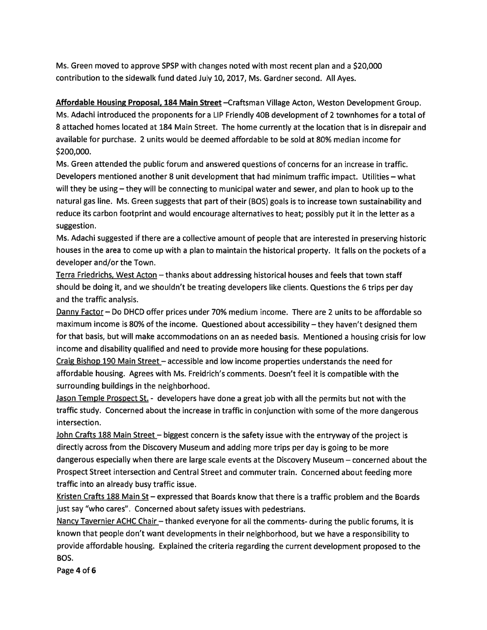Ms. Green moved to approve SPSP with changes noted with most recent plan and <sup>a</sup> \$20,000 contribution to the sidewalk fund dated July 10, 2017, Ms. Gardner second. All Ayes.

Affordable Housing Proposal, <sup>184</sup> Main Street —Craftsman Village Acton, Weston Development Group. Ms. Adachi introduced the proponents for <sup>a</sup> LIP Friendly 40B development of 2 townhomes for <sup>a</sup> total of 8 attached homes located at 184 Main Street. The home currently at the location that is in disrepair and available for purchase. 2 units would be deemed affordable to be sold at 80% median income for \$200,000.

Ms. Green attended the public forum and answered questions of concerns for an increase in traffic. Developers mentioned another 8 unit development that had minimum traffic impact. Utilities — what will they be using — they will be connecting to municipal water and sewer, and <sup>p</sup>lan to hook up to the natural gas line. Ms. Green suggests that par<sup>t</sup> of their (BOS) goals is to increase town sustainability and reduce its carbon footprint and would encourage alternatives to heat; possibly pu<sup>t</sup> it in the letter as <sup>a</sup> suggestion.

Ms. Adachi suggested if there are <sup>a</sup> collective amount of people that are interested in preserving historic houses in the area to come up with <sup>a</sup> plan to maintain the historical property. It falls on the pockets of <sup>a</sup> developer and/or the Town.

Terra Friedrichs, West Acton - thanks about addressing historical houses and feels that town staff should be doing it, and we shouldn't be treating developers like clients. Questions the <sup>6</sup> trips per day and the traffic analysis.

Danny Factor— Do DHCD offer prices under 70% medium income. There are 2 units to be affordable so maximum income is 80% of the income. Questioned about accessibility — they haven't designed them for that basis, but will make accommodations on an as needed basis. Mentioned <sup>a</sup> housing crisis for low income and disability qualified and need to provide more housing for these populations.

Craig Bishop 190 Main Street — accessible and low income properties understands the need for affordable housing. Agrees with Ms. Freidrich's comments. Doesn't feel it is compatible with the surrounding buildings in the neighborhood.

Jason Temple Prospect St. - developers have done <sup>a</sup> grea<sup>t</sup> job with all the permits but not with the traffic study. Concerned about the increase in traffic in conjunction with some of the more dangerous intersection.

John Crafts 188 Main Street – biggest concern is the safety issue with the entryway of the project is directly across from the Discovery Museum and adding more trips per day is going to be mote dangerous especially when there are large scale events at the Discovery Museum — concerned about the Prospect Street intersection and Central Street and commuter train. Concerned about feeding more traffic into an already busy traffic issue.

Kristen Crafts 188 Main St – expressed that Boards know that there is a traffic problem and the Boards just say "who cares". Concerned about safety issues with pedestrians.

Nancy Tavernier ACHC Chair – thanked everyone for all the comments- during the public forums, it is known that people don't want developments in their neighborhood, but we have <sup>a</sup> responsibility to provide affordable housing. Explained the criteria regarding the current development proposed to the BOS.

Page 4 of 6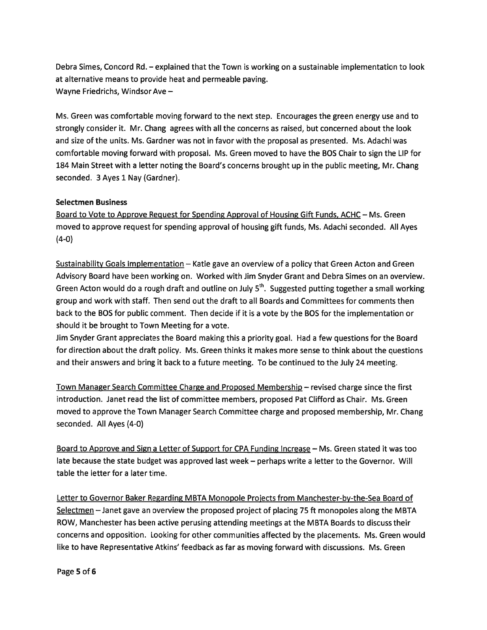Debra Simes, Concord Rd. — explained that the Town is working on <sup>a</sup> sustainable implementation to look at alternative means to provide heat and permeable paving. Wayne Friedrichs, Windsor Ave —

Ms. Green was comfortable moving forward to the next step. Encourages the green energy use and to strongly consider it. Mr. Chang agrees with all the concerns as raised, but concerned about the look and size of the units. Ms. Gardner was not in favor with the proposal as presented. Ms. Adachi was comfortable moving forward with proposal. Ms. Green moved to have the BOS Chair to sign the LIP for 184 Main Street with <sup>a</sup> letter noting the Board's concerns brought up in the public meeting, Mr. Chang seconded. 3 Ayes 1 Nay (Gardner).

# Selectmen Business

Board to Vote to Approve Request for Spending Approval of Housing Gift Funds, ACHC — Ms. Green moved to approve reques<sup>t</sup> for spending approval of housing gift funds, Ms. Adachi seconded. All Ayes  $(4-0)$ 

Sustainability Goals Implementation — Katie gave an overview of <sup>a</sup> policy that Green Acton and Green Advisory Board have been working on. Worked with Jim Snyder Grant and Debra Simes on an overview. Green Acton would do a rough draft and outline on July  $5<sup>th</sup>$ . Suggested putting together a small working group and work with staff. Then send out the draft to all Boards and Committees for comments then back to the BOS for public comment. Then decide if it is <sup>a</sup> vote by the BOS for the implementation or should it be brought to Town Meeting for <sup>a</sup> vote.

Jim Snyder Grant appreciates the Board making this <sup>a</sup> priority goal. Had <sup>a</sup> few questions for the Board for direction about the draft policy. Ms. Green thinks it makes more sense to think about the questions and their answers and bring it back to <sup>a</sup> future meeting. To be continued to the July 24 meeting.

Town Manager Search Committee Charge and Proposed Membership — revised charge since the first introduction. Janet read the list of committee members, proposed Pat Clifford as Chair. Ms. Green moved to approve the Town Manager Search Committee charge and proposed membership, Mr. Chang seconded. All Ayes (4-0)

Board to Approve and Sign <sup>a</sup> Letter of Support for CPA Funding Increase — Ms. Green stated it was too late because the state budget was approved last week — perhaps write <sup>a</sup> letter to the Governor. Will table the letter for <sup>a</sup> later time.

Letter to Governor Baker Regarding MBTA Monopole Projects from Manchester-by-the-Sea Board of Selectmen – Janet gave an overview the proposed project of placing 75 ft monopoles along the MBTA ROW, Manchester has been active perusing attending meetings at the MBTA Boards to discuss their concerns and opposition. Looking for other communities affected by the placements. Ms. Green would like to have Representative Atkins' feedback as far as moving forward with discussions. Ms. Green